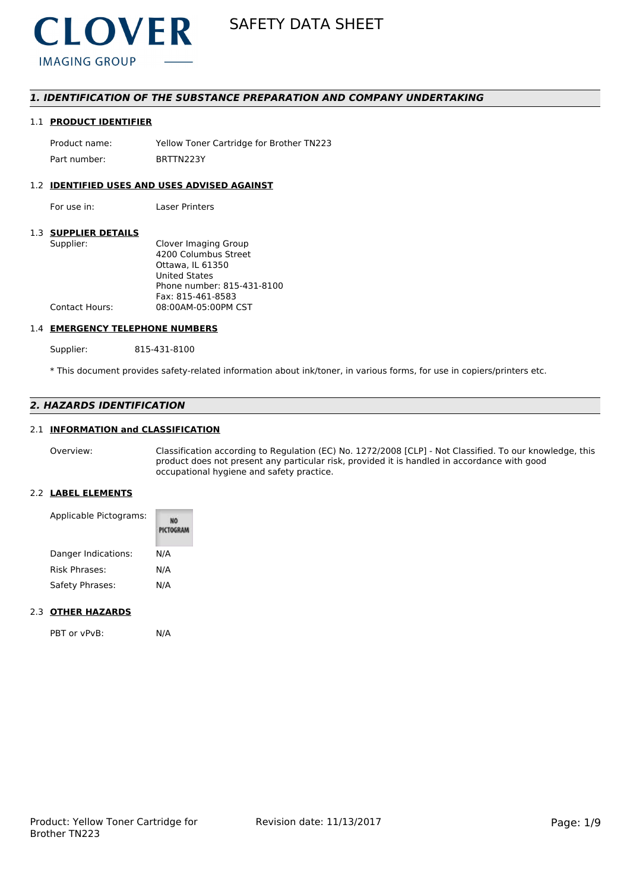

# *1. IDENTIFICATION OF THE SUBSTANCE PREPARATION AND COMPANY UNDERTAKING*

# 1.1 **PRODUCT IDENTIFIER**

Product name: Yellow Toner Cartridge for Brother TN223 Part number: BRTTN223Y

# 1.2 **IDENTIFIED USES AND USES ADVISED AGAINST**

For use in: Laser Printers

# 1.3 **SUPPLIER DETAILS**

| Clover Imaging Group       |
|----------------------------|
| 4200 Columbus Street       |
| Ottawa. IL 61350           |
| <b>United States</b>       |
| Phone number: 815-431-8100 |
| Fax: 815-461-8583          |
| 08:00AM-05:00PM CST        |
|                            |

# 1.4 **EMERGENCY TELEPHONE NUMBERS**

Supplier: 815-431-8100

\* This document provides safety-related information about ink/toner, in various forms, for use in copiers/printers etc.

# *2. HAZARDS IDENTIFICATION*

## 2.1 **INFORMATION and CLASSIFICATION**

Overview: Classification according to Regulation (EC) No. 1272/2008 [CLP] - Not Classified. To our knowledge, this product does not present any particular risk, provided it is handled in accordance with good occupational hygiene and safety practice.

#### 2.2 **LABEL ELEMENTS**

| Applicable Pictograms: | PICTOGRAM |
|------------------------|-----------|
| Danger Indications:    | N/A       |
| Risk Phrases:          | N/A       |
| Safety Phrases:        | N/A       |

## 2.3 **OTHER HAZARDS**

PBT or vPvB: N/A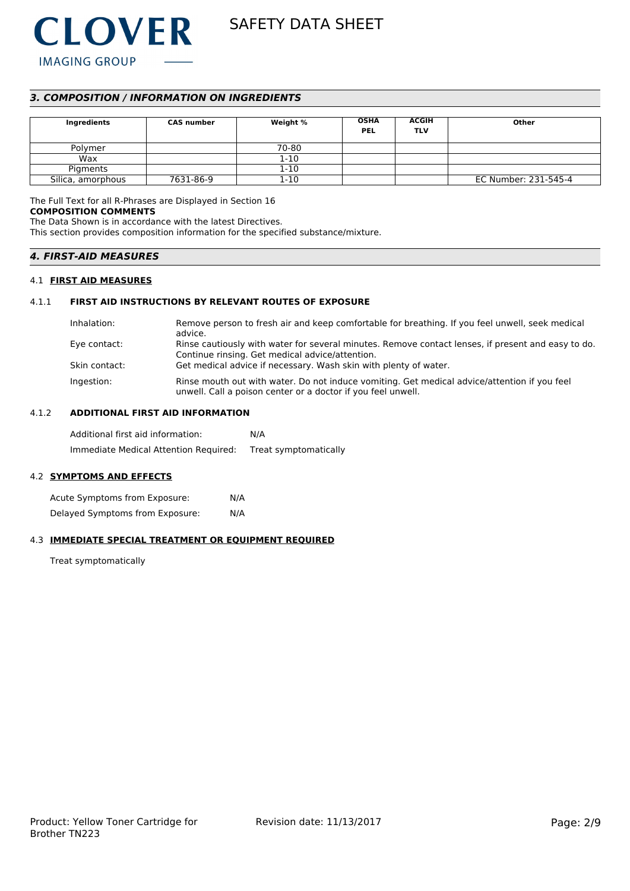

# *3. COMPOSITION / INFORMATION ON INGREDIENTS*

| Ingredients       | <b>CAS number</b> | Weight % | <b>OSHA</b><br><b>PEL</b> | <b>ACGIH</b><br><b>TLV</b> | Other                |
|-------------------|-------------------|----------|---------------------------|----------------------------|----------------------|
| Polymer           |                   | 70-80    |                           |                            |                      |
| Wax               |                   | $1 - 10$ |                           |                            |                      |
| Pigments          |                   | $1 - 10$ |                           |                            |                      |
| Silica, amorphous | 7631-86-9         | $1 - 10$ |                           |                            | EC Number: 231-545-4 |

The Full Text for all R-Phrases are Displayed in Section 16

# **COMPOSITION COMMENTS**

The Data Shown is in accordance with the latest Directives.

This section provides composition information for the specified substance/mixture.

# *4. FIRST-AID MEASURES*

## 4.1 **FIRST AID MEASURES**

# 4.1.1 **FIRST AID INSTRUCTIONS BY RELEVANT ROUTES OF EXPOSURE**

| Inhalation:   | Remove person to fresh air and keep comfortable for breathing. If you feel unwell, seek medical<br>advice.                                                   |
|---------------|--------------------------------------------------------------------------------------------------------------------------------------------------------------|
| Eye contact:  | Rinse cautiously with water for several minutes. Remove contact lenses, if present and easy to do.<br>Continue rinsing. Get medical advice/attention.        |
| Skin contact: | Get medical advice if necessary. Wash skin with plenty of water.                                                                                             |
| Ingestion:    | Rinse mouth out with water. Do not induce vomiting. Get medical advice/attention if you feel<br>unwell. Call a poison center or a doctor if you feel unwell. |

# 4.1.2 **ADDITIONAL FIRST AID INFORMATION**

Additional first aid information: N/A Immediate Medical Attention Required: Treat symptomatically

# 4.2 **SYMPTOMS AND EFFECTS**

Acute Symptoms from Exposure: N/A Delayed Symptoms from Exposure: N/A

## 4.3 **IMMEDIATE SPECIAL TREATMENT OR EQUIPMENT REQUIRED**

Treat symptomatically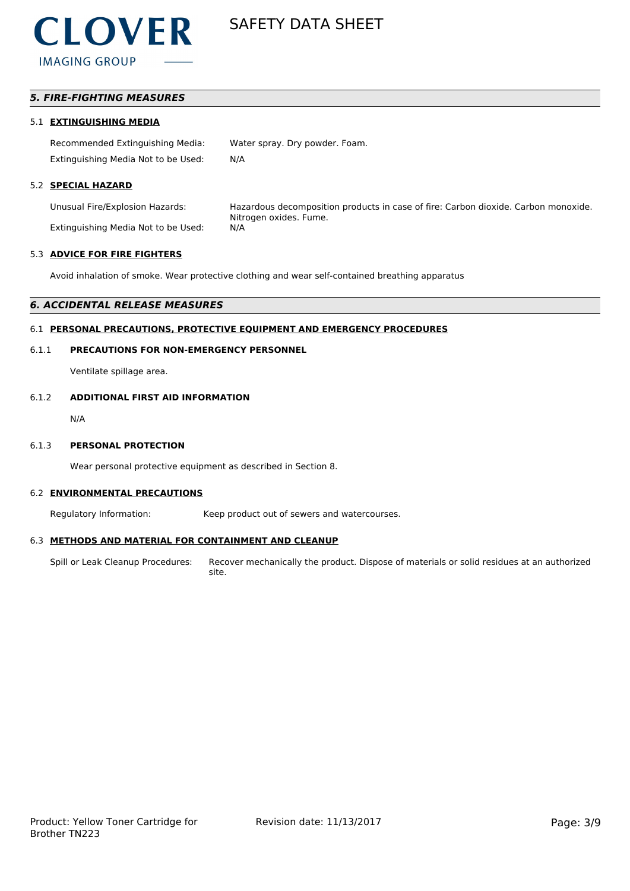

# *5. FIRE-FIGHTING MEASURES*

## 5.1 **EXTINGUISHING MEDIA**

Recommended Extinguishing Media: Water spray. Dry powder. Foam. Extinguishing Media Not to be Used: N/A

# 5.2 **SPECIAL HAZARD**

Extinguishing Media Not to be Used: N/A

Unusual Fire/Explosion Hazards: Hazardous decomposition products in case of fire: Carbon dioxide. Carbon monoxide. Nitrogen oxides. Fume.

# 5.3 **ADVICE FOR FIRE FIGHTERS**

Avoid inhalation of smoke. Wear protective clothing and wear self-contained breathing apparatus

#### *6. ACCIDENTAL RELEASE MEASURES*

## 6.1 **PERSONAL PRECAUTIONS, PROTECTIVE EQUIPMENT AND EMERGENCY PROCEDURES**

## 6.1.1 **PRECAUTIONS FOR NON-EMERGENCY PERSONNEL**

Ventilate spillage area.

## 6.1.2 **ADDITIONAL FIRST AID INFORMATION**

N/A

#### 6.1.3 **PERSONAL PROTECTION**

Wear personal protective equipment as described in Section 8.

#### 6.2 **ENVIRONMENTAL PRECAUTIONS**

Regulatory Information: Keep product out of sewers and watercourses.

## 6.3 **METHODS AND MATERIAL FOR CONTAINMENT AND CLEANUP**

Spill or Leak Cleanup Procedures: Recover mechanically the product. Dispose of materials or solid residues at an authorized site.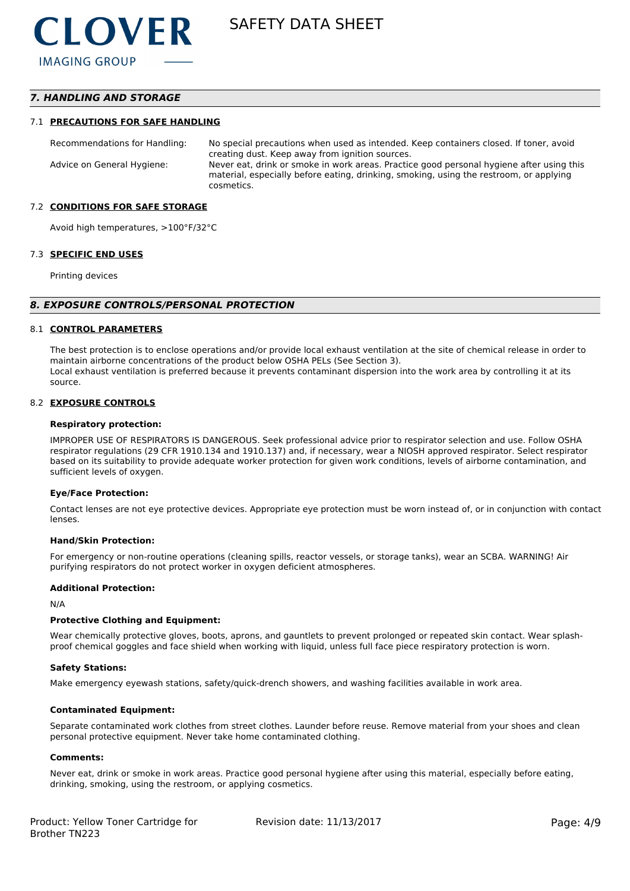# *7. HANDLING AND STORAGE*

#### 7.1 **PRECAUTIONS FOR SAFE HANDLING**

Recommendations for Handling: No special precautions when used as intended. Keep containers closed. If toner, avoid creating dust. Keep away from ignition sources. Advice on General Hygiene: Never eat, drink or smoke in work areas. Practice good personal hygiene after using this material, especially before eating, drinking, smoking, using the restroom, or applying cosmetics.

#### 7.2 **CONDITIONS FOR SAFE STORAGE**

Avoid high temperatures, >100°F/32°C

#### 7.3 **SPECIFIC END USES**

Printing devices

#### *8. EXPOSURE CONTROLS/PERSONAL PROTECTION*

#### 8.1 **CONTROL PARAMETERS**

The best protection is to enclose operations and/or provide local exhaust ventilation at the site of chemical release in order to maintain airborne concentrations of the product below OSHA PELs (See Section 3). Local exhaust ventilation is preferred because it prevents contaminant dispersion into the work area by controlling it at its source.

#### 8.2 **EXPOSURE CONTROLS**

#### **Respiratory protection:**

IMPROPER USE OF RESPIRATORS IS DANGEROUS. Seek professional advice prior to respirator selection and use. Follow OSHA respirator regulations (29 CFR 1910.134 and 1910.137) and, if necessary, wear a NIOSH approved respirator. Select respirator based on its suitability to provide adequate worker protection for given work conditions, levels of airborne contamination, and sufficient levels of oxygen.

#### **Eye/Face Protection:**

Contact lenses are not eye protective devices. Appropriate eye protection must be worn instead of, or in conjunction with contact lenses.

#### **Hand/Skin Protection:**

For emergency or non-routine operations (cleaning spills, reactor vessels, or storage tanks), wear an SCBA. WARNING! Air purifying respirators do not protect worker in oxygen deficient atmospheres.

#### **Additional Protection:**

N/A

#### **Protective Clothing and Equipment:**

Wear chemically protective gloves, boots, aprons, and gauntlets to prevent prolonged or repeated skin contact. Wear splashproof chemical goggles and face shield when working with liquid, unless full face piece respiratory protection is worn.

#### **Safety Stations:**

Make emergency eyewash stations, safety/quick-drench showers, and washing facilities available in work area.

#### **Contaminated Equipment:**

Separate contaminated work clothes from street clothes. Launder before reuse. Remove material from your shoes and clean personal protective equipment. Never take home contaminated clothing.

#### **Comments:**

Never eat, drink or smoke in work areas. Practice good personal hygiene after using this material, especially before eating, drinking, smoking, using the restroom, or applying cosmetics.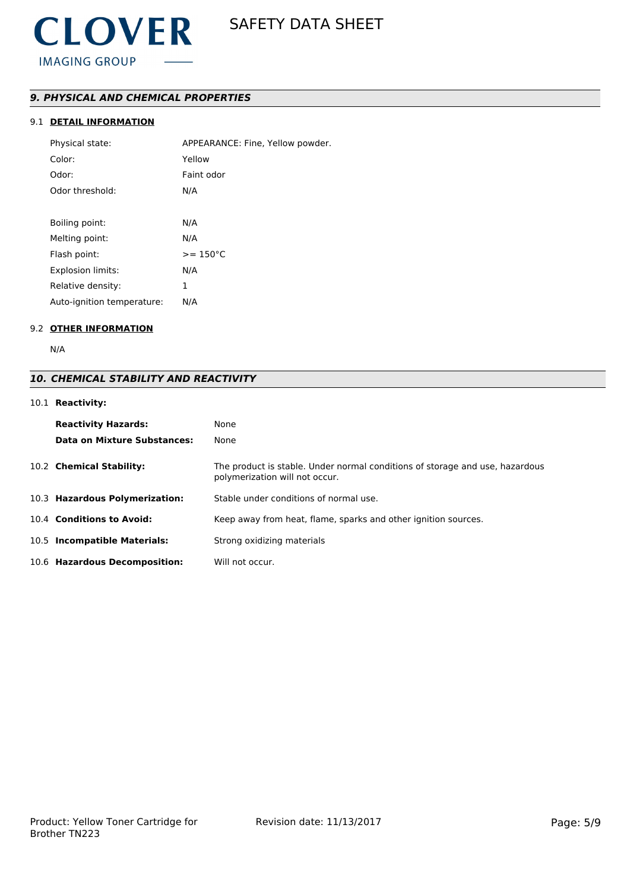# *9. PHYSICAL AND CHEMICAL PROPERTIES*

# 9.1 **DETAIL INFORMATION**

| Physical state:            | APPEARANCE: Fine, Yellow powder. |
|----------------------------|----------------------------------|
| Color:                     | Yellow                           |
| Odor:                      | Faint odor                       |
| Odor threshold:            | N/A                              |
|                            |                                  |
| Boiling point:             | N/A                              |
| Melting point:             | N/A                              |
| Flash point:               | $>= 150^{\circ}C$                |
| <b>Explosion limits:</b>   | N/A                              |
| Relative density:          | 1                                |
| Auto-ignition temperature: | N/A                              |

# 9.2 **OTHER INFORMATION**

N/A

# *10. CHEMICAL STABILITY AND REACTIVITY*

# 10.1 **Reactivity:**

| <b>Reactivity Hazards:</b><br>Data on Mixture Substances: | None<br>None                                                                                                   |
|-----------------------------------------------------------|----------------------------------------------------------------------------------------------------------------|
| 10.2 Chemical Stability:                                  | The product is stable. Under normal conditions of storage and use, hazardous<br>polymerization will not occur. |
| 10.3 Hazardous Polymerization:                            | Stable under conditions of normal use.                                                                         |
| 10.4 Conditions to Avoid:                                 | Keep away from heat, flame, sparks and other ignition sources.                                                 |
| 10.5 Incompatible Materials:                              | Strong oxidizing materials                                                                                     |
| 10.6 Hazardous Decomposition:                             | Will not occur.                                                                                                |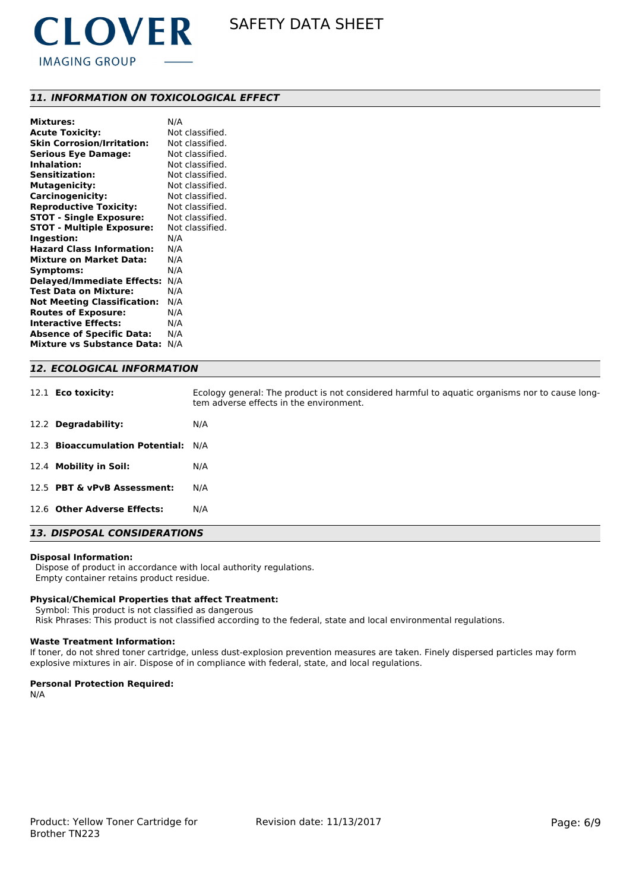

# *11. INFORMATION ON TOXICOLOGICAL EFFECT*

| <b>Mixtures:</b>                   | N/A             |
|------------------------------------|-----------------|
| <b>Acute Toxicity:</b>             | Not classified. |
| <b>Skin Corrosion/Irritation:</b>  | Not classified. |
| <b>Serious Eye Damage:</b>         | Not classified. |
| <b>Inhalation:</b>                 | Not classified. |
| Sensitization:                     | Not classified. |
| <b>Mutagenicity:</b>               | Not classified. |
| <b>Carcinogenicity:</b>            | Not classified. |
| <b>Reproductive Toxicity:</b>      | Not classified. |
| <b>STOT - Single Exposure:</b>     | Not classified. |
| <b>STOT - Multiple Exposure:</b>   | Not classified. |
| Ingestion:                         | N/A             |
| <b>Hazard Class Information:</b>   | N/A             |
| <b>Mixture on Market Data:</b>     | N/A             |
| Symptoms:                          | N/A             |
| <b>Delayed/Immediate Effects:</b>  | N/A             |
| <b>Test Data on Mixture:</b>       | N/A             |
| <b>Not Meeting Classification:</b> | N/A             |
| <b>Routes of Exposure:</b>         | N/A             |
| <b>Interactive Effects:</b>        | N/A             |
| <b>Absence of Specific Data:</b>   | N/A             |
| <b>Mixture vs Substance Data:</b>  | N/A             |
|                                    |                 |

# *12. ECOLOGICAL INFORMATION*

| 12.1 <b>Eco toxicity:</b>           | Ecology general: The product is not considered harmful to aquatic organisms nor to cause long-<br>tem adverse effects in the environment. |
|-------------------------------------|-------------------------------------------------------------------------------------------------------------------------------------------|
| 12.2 Degradability:                 | N/A                                                                                                                                       |
| 12.3 Bioaccumulation Potential: N/A |                                                                                                                                           |
| 12.4 Mobility in Soil:              | N/A                                                                                                                                       |
| 12.5 PBT & vPvB Assessment:         | N/A                                                                                                                                       |
| 12.6 Other Adverse Effects:         | N/A                                                                                                                                       |

# *13. DISPOSAL CONSIDERATIONS*

#### **Disposal Information:**

 Dispose of product in accordance with local authority regulations. Empty container retains product residue.

### **Physical/Chemical Properties that affect Treatment:**

 Symbol: This product is not classified as dangerous Risk Phrases: This product is not classified according to the federal, state and local environmental regulations.

#### **Waste Treatment Information:**

If toner, do not shred toner cartridge, unless dust-explosion prevention measures are taken. Finely dispersed particles may form explosive mixtures in air. Dispose of in compliance with federal, state, and local regulations.

### **Personal Protection Required:**

N/A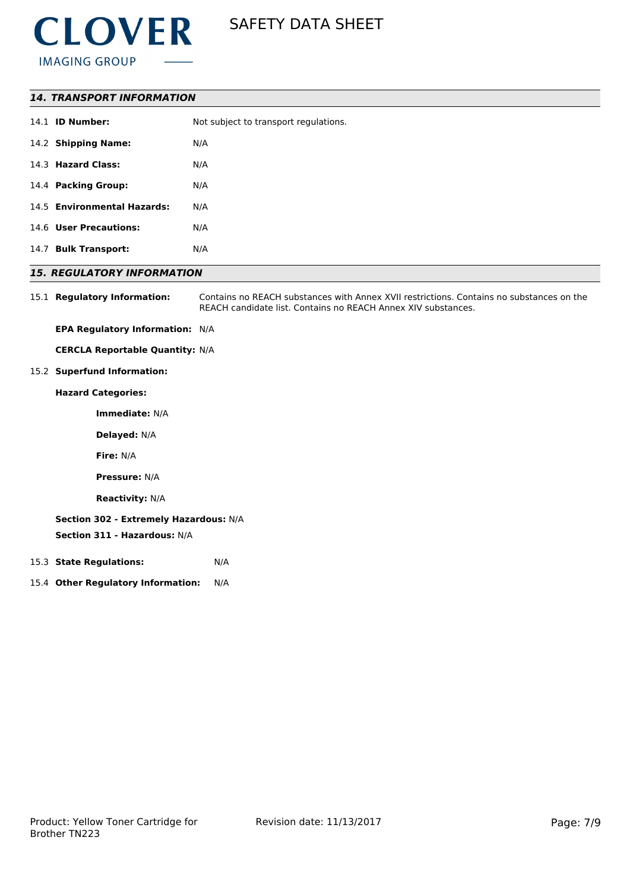

## *14. TRANSPORT INFORMATION*

|      | 14.1 <b>ID Number:</b>      | Not subject to transport regulations. |
|------|-----------------------------|---------------------------------------|
|      | 14.2 Shipping Name:         | N/A                                   |
|      | 14.3 Hazard Class:          | N/A                                   |
|      | 14.4 Packing Group:         | N/A                                   |
|      | 14.5 Environmental Hazards: | N/A                                   |
|      | 14.6 User Precautions:      | N/A                                   |
| 14.7 | <b>Bulk Transport:</b>      | N/A                                   |

# *15. REGULATORY INFORMATION*

15.1 **Regulatory Information:** Contains no REACH substances with Annex XVII restrictions. Contains no substances on the REACH candidate list. Contains no REACH Annex XIV substances.

**EPA Regulatory Information:** N/A

**CERCLA Reportable Quantity:** N/A

15.2 **Superfund Information:**

**Hazard Categories:**

**Immediate:** N/A

**Delayed:** N/A

**Fire:** N/A

**Pressure:** N/A

**Reactivity:** N/A

# **Section 302 - Extremely Hazardous:** N/A

**Section 311 - Hazardous:** N/A

## 15.3 **State Regulations:** N/A

15.4 **Other Regulatory Information:** N/A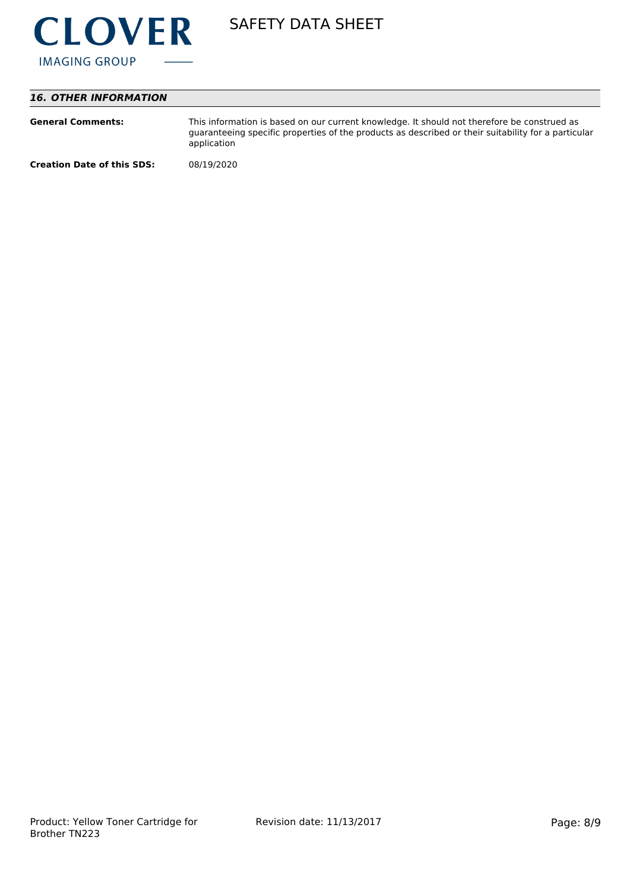

# *16. OTHER INFORMATION*

| <b>General Comments:</b>          | This information is based on our current knowledge. It should not therefore be construed as<br>guaranteeing specific properties of the products as described or their suitability for a particular<br>application |
|-----------------------------------|-------------------------------------------------------------------------------------------------------------------------------------------------------------------------------------------------------------------|
| <b>Creation Date of this SDS:</b> | 08/19/2020                                                                                                                                                                                                        |